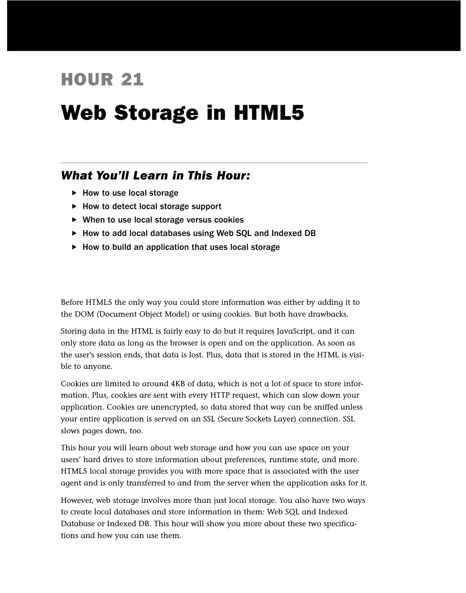# HOUR 21

# Web Storage in HTML5

## *What You'll Learn in This Hour:*

- $\blacktriangleright$  How to use local storage
- $\blacktriangleright$  How to detect local storage support
- $\triangleright$  When to use local storage versus cookies
- ▶ How to add local databases using Web SQL and Indexed DB
- $\blacktriangleright$  How to build an application that uses local storage

Before HTML5 the only way you could store information was either by adding it to the DOM (Document Object Model) or using cookies. But both have drawbacks.

Storing data in the HTML is fairly easy to do but it requires JavaScript, and it can only store data as long as the browser is open and on the application. As soon as the user's session ends, that data is lost. Plus, data that is stored in the HTML is visible to anyone.

Cookies are limited to around 4KB of data, which is not a lot of space to store information. Plus, cookies are sent with every HTTP request, which can slow down your application. Cookies are unencrypted, so data stored that way can be sniffed unless your entire application is served on an SSL (Secure Sockets Layer) connection. SSL slows pages down, too.

This hour you will learn about web storage and how you can use space on your users' hard drives to store information about preferences, runtime state, and more. HTML5 local storage provides you with more space that is associated with the user agent and is only transferred to and from the server when the application asks for it.

However, web storage involves more than just local storage. You also have two ways to create local databases and store information in them: Web SQL and Indexed Database or Indexed DB. This hour will show you more about these two specifications and how you can use them.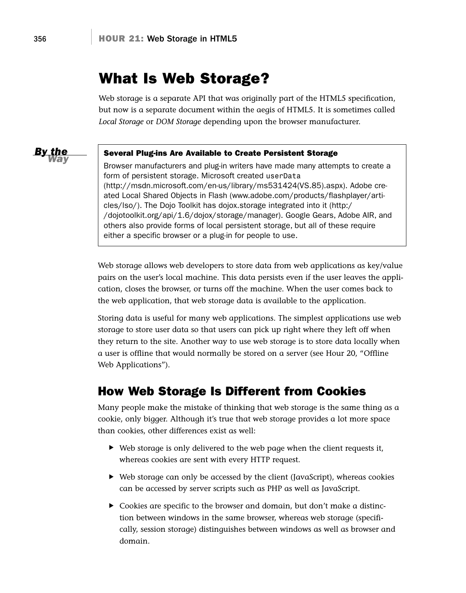# What Is Web Storage?

Web storage is a separate API that was originally part of the HTML5 specification, but now is a separate document within the aegis of HTML5. It is sometimes called *Local Storage* or *DOM Storage* depending upon the browser manufacturer.

# *By the Way*

#### Several Plug-ins Are Available to Create Persistent Storage

Browser manufacturers and plug-in writers have made many attempts to create a form of persistent storage. Microsoft created userData [\(http://msdn.microsoft.com/en-us/library/ms531424\(VS.85\).aspx\).](http://msdn.microsoft.com/en-us/library/ms531424(VS.85).aspx) Adobe created Local Shared Objects in Flash [\(www.adobe.com/products/flashplayer/arti](www.adobe.com/products/flashplayer/articles/lso/)[cles/lso/\)](www.adobe.com/products/flashplayer/articles/lso/). The Dojo Toolkit has dojox.storage integrated into it [\(http:/](http://dojotoolkit.org/api/1.6/dojox/storage/manager) [/dojotoolkit.org/api/1.6/dojox/storage/manager\).](http://dojotoolkit.org/api/1.6/dojox/storage/manager) Google Gears, Adobe AIR, and others also provide forms of local persistent storage, but all of these require either a specific browser or a plug-in for people to use.

Web storage allows web developers to store data from web applications as key/value pairs on the user's local machine. This data persists even if the user leaves the application, closes the browser, or turns off the machine. When the user comes back to the web application, that web storage data is available to the application.

Storing data is useful for many web applications. The simplest applications use web storage to store user data so that users can pick up right where they left off when they return to the site. Another way to use web storage is to store data locally when a user is offline that would normally be stored on a server (see Hour 20, "Offline Web Applications").

### How Web Storage Is Different from Cookies

Many people make the mistake of thinking that web storage is the same thing as a cookie, only bigger. Although it's true that web storage provides a lot more space than cookies, other differences exist as well:

- . Web storage is only delivered to the web page when the client requests it, whereas cookies are sent with every HTTP request.
- $\triangleright$  Web storage can only be accessed by the client (JavaScript), whereas cookies can be accessed by server scripts such as PHP as well as JavaScript.
- . Cookies are specific to the browser and domain, but don't make a distinction between windows in the same browser, whereas web storage (specifically, session storage) distinguishes between windows as well as browser and domain.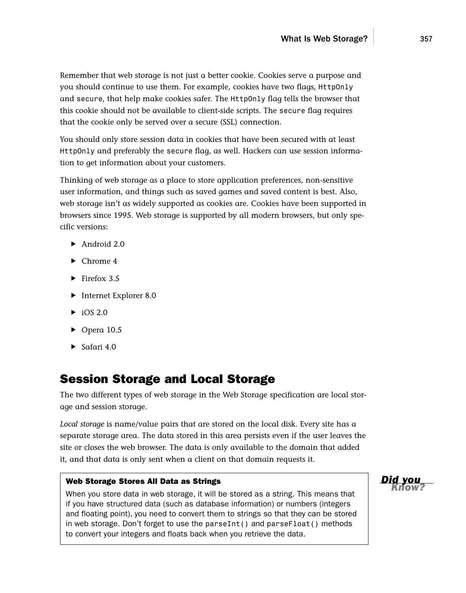Remember that web storage is not just a better cookie. Cookies serve a purpose and you should continue to use them. For example, cookies have two flags, HttpOnly and secure, that help make cookies safer. The HttpOnly flag tells the browser that this cookie should not be available to client-side scripts. The secure flag requires that the cookie only be served over a secure (SSL) connection.

You should only store session data in cookies that have been secured with at least HttpOnly and preferably the secure flag, as well. Hackers can use session information to get information about your customers.

Thinking of web storage as a place to store application preferences, non-sensitive user information, and things such as saved games and saved content is best. Also, web storage isn't as widely supported as cookies are. Cookies have been supported in browsers since 1995. Web storage is supported by all modern browsers, but only specific versions:

- $\blacktriangleright$  Android 2.0
- $\blacktriangleright$  Chrome 4
- $\blacktriangleright$  Firefox 3.5
- . Internet Explorer 8.0
- $\blacktriangleright$  iOS 2.0
- $\triangleright$  Opera 10.5
- $\blacktriangleright$  Safari 4.0

### Session Storage and Local Storage

The two different types of web storage in the Web Storage specification are local storage and session storage.

*Local storage* is name/value pairs that are stored on the local disk. Every site has a separate storage area. The data stored in this area persists even if the user leaves the site or closes the web browser. The data is only available to the domain that added it, and that data is only sent when a client on that domain requests it.

#### Web Storage Stores All Data as Strings

When you store data in web storage, it will be stored as a string. This means that if you have structured data (such as database information) or numbers (integers and floating point), you need to convert them to strings so that they can be stored in web storage. Don't forget to use the parseInt() and parseFloat() methods to convert your integers and floats back when you retrieve the data.

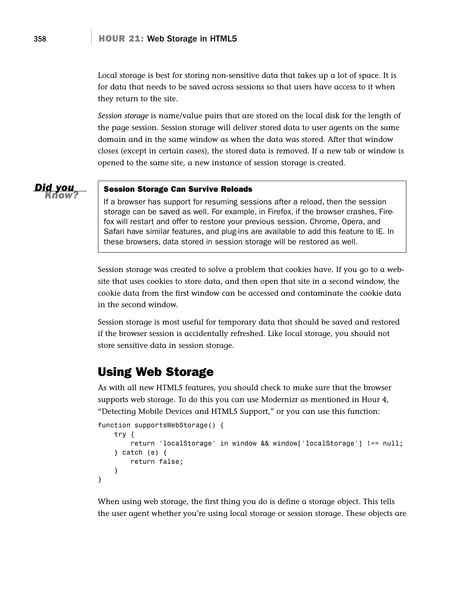Local storage is best for storing non-sensitive data that takes up a lot of space. It is for data that needs to be saved across sessions so that users have access to it when they return to the site.

*Session storage* is name/value pairs that are stored on the local disk for the length of the page session. Session storage will deliver stored data to user agents on the same domain and in the same window as when the data was stored. After that window closes (except in certain cases), the stored data is removed. If a new tab or window is opened to the same site, a new instance of session storage is created.

*Did you* 

#### Session Storage Can Survive Reloads

If a browser has support for resuming sessions after a reload, then the session storage can be saved as well. For example, in Firefox, if the browser crashes, Firefox will restart and offer to restore your previous session. Chrome, Opera, and Safari have similar features, and plug-ins are available to add this feature to IE. In these browsers, data stored in session storage will be restored as well.

Session storage was created to solve a problem that cookies have. If you go to a website that uses cookies to store data, and then open that site in a second window, the cookie data from the first window can be accessed and contaminate the cookie data in the second window.

Session storage is most useful for temporary data that should be saved and restored if the browser session is accidentally refreshed. Like local storage, you should not store sensitive data in session storage.

### Using Web Storage

As with all new HTML5 features, you should check to make sure that the browser supports web storage. To do this you can use Modernizr as mentioned in Hour 4, "Detecting Mobile Devices and HTML5 Support," or you can use this function:

```
function supportsWebStorage() {
   try {
        return 'localStorage' in window && window['localStorage'] !== null;
    } catch (e) {
        return false;
    }
}
```
When using web storage, the first thing you do is define a storage object. This tells the user agent whether you're using local storage or session storage. These objects are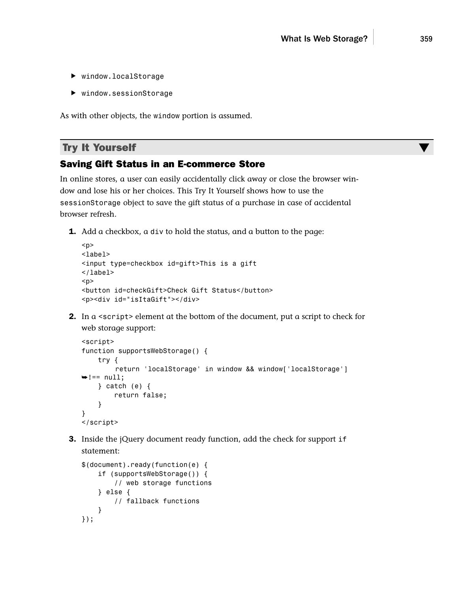- ▶ window.localStorage
- $\blacktriangleright$  window.sessionStorage

As with other objects, the window portion is assumed.

#### Try It Yourself

#### Saving Gift Status in an E-commerce Store

In online stores, a user can easily accidentally click away or close the browser window and lose his or her choices. This Try It Yourself shows how to use the sessionStorage object to save the gift status of a purchase in case of accidental browser refresh.

1. Add a checkbox, a div to hold the status, and a button to the page:

```
-p<label>
<input type=checkbox id=gift>This is a gift
</label>
<p>
<button id=checkGift>Check Gift Status</button>
<p><div id="isItaGift"></div>
```
2. In a <script> element at the bottom of the document, put a script to check for web storage support:

```
<script>
function supportsWebStorage() {
    try {
         return 'localStorage' in window && window['localStorage']
\rightarrow !== null;} catch (e) {
        return false;
    }
}
</script>
```
3. Inside the jQuery document ready function, add the check for support if statement:

```
$(document).ready(function(e) {
    if (supportsWebStorage()) {
        // web storage functions
    } else {
        // fallback functions
    }
});
```
▼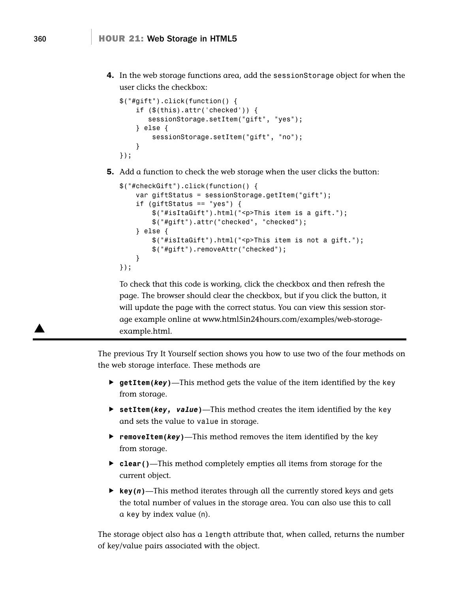4. In the web storage functions area, add the sessionStorage object for when the user clicks the checkbox:

```
$("#gift").click(function() {
    if ($(this).attr('checked')) {
       sessionStorage.setItem("gift", "yes");
    } else {
        sessionStorage.setItem("gift", "no");
    }
});
```
5. Add a function to check the web storage when the user clicks the button:

```
$("#checkGift").click(function() {
    var giftStatus = sessionStorage.getItem("gift");
    if (giftStatus == "yes") {
        $("#isItaGift").html("<p>This item is a gift.");
        $("#gift").attr("checked", "checked");
    } else {
        $("#isItaGift").html("<p>This item is not a gift.");
        $("#gift").removeAttr("checked");
    }
});
```
To check that this code is working, click the checkbox and then refresh the page. The browser should clear the checkbox, but if you click the button, it will update the page with the correct status. You can view this session storage example online at [www.html5in24hours.com/examples/web-storage](www.html5in24hours.com/examples/web-storageexample.html)[example.html.](www.html5in24hours.com/examples/web-storageexample.html)

The previous Try It Yourself section shows you how to use two of the four methods on the web storage interface. These methods are

- **getItem(** $key$ **)—This method gets the value of the item identified by the key** from storage.
- . **setItem(***key, value***)**—This method creates the item identified by the key and sets the value to value in storage.
- **Fuller removeItem(** $key$ **)—This method removes the item identified by the key** from storage.
- . **clear()**—This method completely empties all items from storage for the current object.
- **key(n)—This method iterates through all the currently stored keys and gets** the total number of values in the storage area. You can also use this to call a key by index value (n).

The storage object also has a length attribute that, when called, returns the number of key/value pairs associated with the object.

▲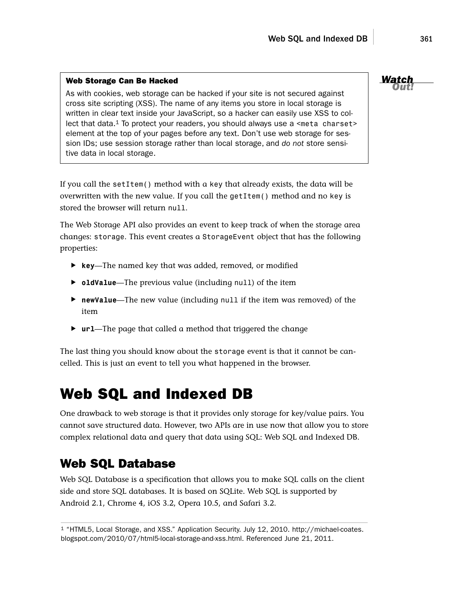#### *Watch Out!* Web Storage Can Be Hacked

As with cookies, web storage can be hacked if your site is not secured against cross site scripting (XSS). The name of any items you store in local storage is written in clear text inside your JavaScript, so a hacker can easily use XSS to collect that data.<sup>1</sup> To protect your readers, you should always use a <meta charset> element at the top of your pages before any text. Don't use web storage for session IDs; use session storage rather than local storage, and *do not* store sensitive data in local storage.

If you call the setItem() method with a key that already exists, the data will be overwritten with the new value. If you call the getItem() method and no key is stored the browser will return null.

The Web Storage API also provides an event to keep track of when the storage area changes: storage. This event creates a StorageEvent object that has the following properties:

- . **key**—The named key that was added, removed, or modified
- . **oldValue**—The previous value (including null) of the item
- . **newValue**—The new value (including null if the item was removed) of the item
- . **url**—The page that called a method that triggered the change

The last thing you should know about the storage event is that it cannot be cancelled. This is just an event to tell you what happened in the browser.

# Web SQL and Indexed DB

One drawback to web storage is that it provides only storage for key/value pairs. You cannot save structured data. However, two APIs are in use now that allow you to store complex relational data and query that data using SQL: Web SQL and Indexed DB.

# Web SQL Database

Web SQL Database is a specification that allows you to make SQL calls on the client side and store SQL databases. It is based on SQLite. Web SQL is supported by Android 2.1, Chrome 4, iOS 3.2, Opera 10.5, and Safari 3.2.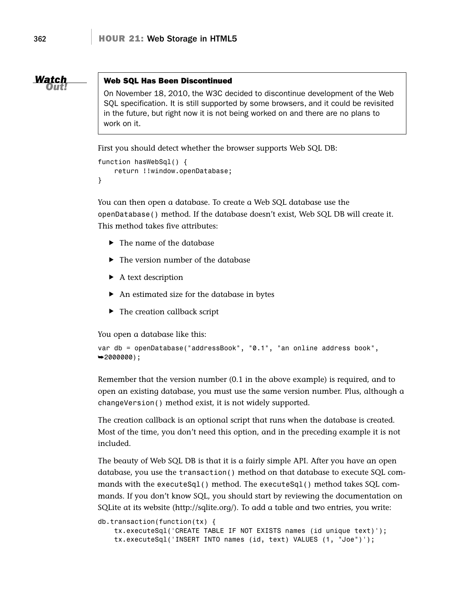### *Watch Out!*

#### Web SQL Has Been Discontinued

On November 18, 2010, the W3C decided to discontinue development of the Web SQL specification. It is still supported by some browsers, and it could be revisited in the future, but right now it is not being worked on and there are no plans to work on it.

First you should detect whether the browser supports Web SQL DB:

```
function hasWebSql() {
    return !!window.openDatabase;
}
```
You can then open a database. To create a Web SQL database use the openDatabase() method. If the database doesn't exist, Web SQL DB will create it. This method takes five attributes:

- $\blacktriangleright$  The name of the database
- ▶ The version number of the database
- $\blacktriangleright$  A text description
- $\blacktriangleright$  An estimated size for the database in bytes
- $\blacktriangleright$  The creation callback script

You open a database like this:

```
var db = openDatabase("addressBook", "0.1", "an online address book",
➥2000000);
```
Remember that the version number (0.1 in the above example) is required, and to open an existing database, you must use the same version number. Plus, although a changeVersion() method exist, it is not widely supported.

The creation callback is an optional script that runs when the database is created. Most of the time, you don't need this option, and in the preceding example it is not included.

The beauty of Web SQL DB is that it is a fairly simple API. After you have an open database, you use the transaction() method on that database to execute SQL commands with the executeSql() method. The executeSql() method takes SQL commands. If you don't know SQL, you should start by reviewing the documentation on SQLite at its website ([http://sqlite.org/\).](http://sqlite.org/) To add a table and two entries, you write:

```
db.transaction(function(tx) {
    tx.executeSql('CREATE TABLE IF NOT EXISTS names (id unique text)');
    tx.executeSql('INSERT INTO names (id, text) VALUES (1, "Joe")');
```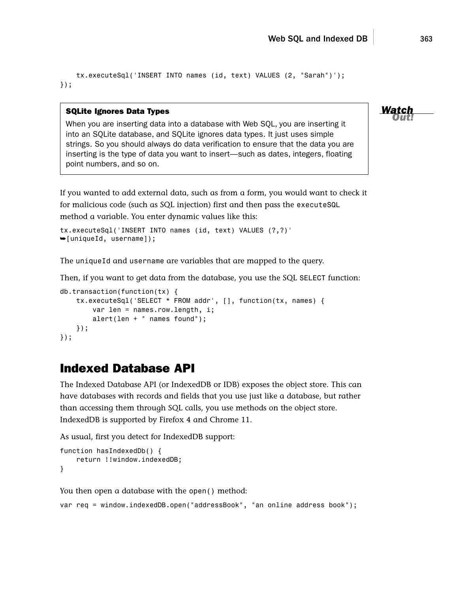```
tx.executeSql('INSERT INTO names (id, text) VALUES (2, "Sarah")');
});
```
#### SQLite Ignores Data Types

When you are inserting data into a database with Web SQL, you are inserting it into an SQLite database, and SQLite ignores data types. It just uses simple strings. So you should always do data verification to ensure that the data you are inserting is the type of data you want to insert—such as dates, integers, floating point numbers, and so on.

If you wanted to add external data, such as from a form, you would want to check it for malicious code (such as SQL injection) first and then pass the executeSQL method a variable. You enter dynamic values like this:

```
tx.executeSql('INSERT INTO names (id, text) VALUES (?,?)' 
➥[uniqueId, username]);
```
The uniqueId and username are variables that are mapped to the query.

Then, if you want to get data from the database, you use the SQL SELECT function:

```
db.transaction(function(tx) {
    tx.executeSql('SELECT * FROM addr', [], function(tx, names) {
        var len = names.row.length, i;
        alert(len + " names found");
    });
});
```
### Indexed Database API

The Indexed Database API (or IndexedDB or IDB) exposes the object store. This can have databases with records and fields that you use just like a database, but rather than accessing them through SQL calls, you use methods on the object store. IndexedDB is supported by Firefox 4 and Chrome 11.

As usual, first you detect for IndexedDB support:

```
function hasIndexedDb() {
    return !!window.indexedDB;
}
```
You then open a database with the open() method:

```
var req = window.indexedDB.open("addressBook", "an online address book");
```

```
Watch Out!
```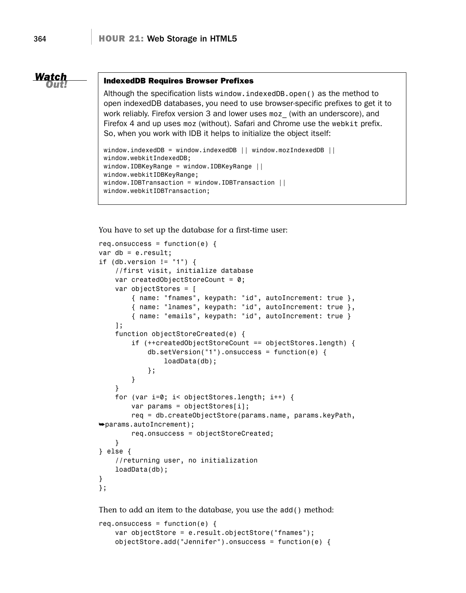

#### IndexedDB Requires Browser Prefixes

Although the specification lists window.indexedDB.open() as the method to open indexedDB databases, you need to use browser-specific prefixes to get it to work reliably. Firefox version 3 and lower uses moz (with an underscore), and Firefox 4 and up uses moz (without). Safari and Chrome use the webkit prefix. So, when you work with IDB it helps to initialize the object itself:

```
window.indexedDB = window.indexedDB || window.mozIndexedDB ||
window.webkitIndexedDB;
window.IDBKeyRange = window.IDBKeyRange | |
window.webkitIDBKeyRange;
window.IDBTransaction = window.IDBTransaction ||window.webkitIDBTransaction;
```
You have to set up the database for a first-time user:

```
req.onsuccess = function(e) {
var db = e.result;
if (db.version != "1") {
    //first visit, initialize database
    var createdObjectStoreCount = 0;
    var objectStores = [
        { name: "fnames", keypath: "id", autoIncrement: true },
        { name: "lnames", keypath: "id", autoIncrement: true },
        { name: "emails", keypath: "id", autoIncrement: true }
    ];
    function objectStoreCreated(e) {
        if (++createdObjectStoreCount == objectStores.length) {
            db.setVersion("1").onsuccess = function(e) {
                loadData(db);
            };
        }
    }
    for (var i=0; i< objectStores.length; i++) {
        var params = objectStores[i];
        req = db.createObjectStore(params.name, params.keyPath,
➥params.autoIncrement);
        req.onsuccess = objectStoreCreated;
    }
} else {
    //returning user, no initialization
    loadData(db);
}
};
```
Then to add an item to the database, you use the add() method:

```
req.onsuccess = function(e) {
    var objectStore = e.result.objectStore("fnames");
    objectStore.add("Jennifer").onsuccess = function(e) {
```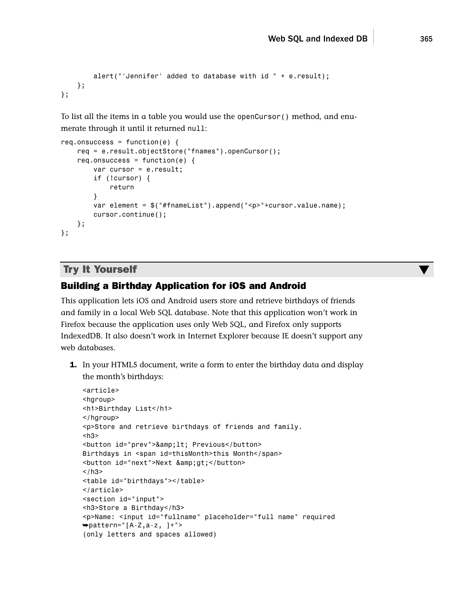```
alert("'Jennifer' added to database with id " + e.result);
    };
};
```
To list all the items in a table you would use the openCursor() method, and enumerate through it until it returned null:

```
req.onsuccess = function(e) {
    req = e.result.objectStore("fnames").openCursor();
    req.onsuccess = function(e) {
        var cursor = e.result;
        if (!cursor) {
            return
        }
        var element = $("#fnameList").append("<p>"+cursor.value.name);
        cursor.continue();
    };
};
```
### Try It Yourself

#### Building a Birthday Application for iOS and Android

This application lets iOS and Android users store and retrieve birthdays of friends and family in a local Web SQL database. Note that this application won't work in Firefox because the application uses only Web SQL, and Firefox only supports IndexedDB. It also doesn't work in Internet Explorer because IE doesn't support any web databases.

1. In your HTML5 document, write a form to enter the birthday data and display the month's birthdays:

```
<article>
<hgroup>
<h1>Birthday List</h1>
</hgroup>
<p>Store and retrieve birthdays of friends and family.
<h3>
<button id="prev">&amp;lt; Previous</button>
Birthdays in <span id=thisMonth>this Month</span>
<br/>button id="next">Next &amp;gt;</button>
</h3>
<table id="birthdays"></table>
</article>
<section id="input">
<h3>Store a Birthday</h3>
<p>Name: <input id="fullname" placeholder="full name" required
\rightarrow pattern="[A-Z, a-z, ]+">
(only letters and spaces allowed)
```
▼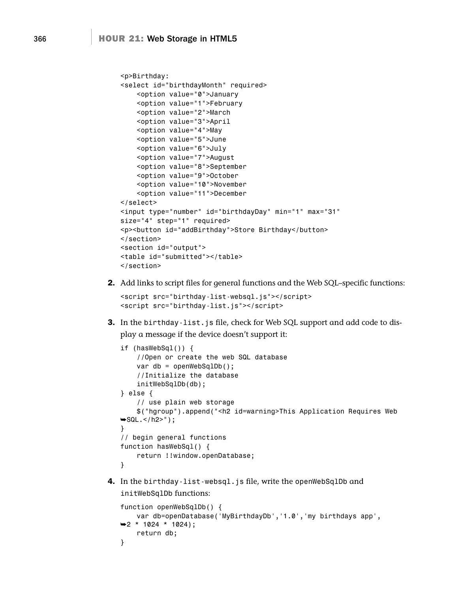```
<p>Birthday:
<select id="birthdayMonth" required>
    <option value="0">January
    <option value="1">February
    <option value="2">March
    <option value="3">April
    <option value="4">May
    <option value="5">June
    <option value="6">July
    <option value="7">August
    <option value="8">September
    <option value="9">October
    <option value="10">November
    <option value="11">December
</select>
<input type="number" id="birthdayDay" min="1" max="31"
size="4" step="1" required>
<p><button id="addBirthday">Store Birthday</button>
</section>
<section id="output">
<table id="submitted"></table>
</section>
```
2. Add links to script files for general functions and the Web SQL-specific functions:

```
<script src="birthday-list-websql.js"></script>
<script src="birthday-list.js"></script>
```
3. In the birthday-list.js file, check for Web SQL support and add code to display a message if the device doesn't support it:

```
if (hasWebSql()) {
    //Open or create the web SQL database
    var db = openWebSqlDb();
    //Initialize the database
    initWebSqlDb(db);
} else {
    // use plain web storage
    $("hgroup").append("<h2 id=warning>This Application Requires Web
\blacktrianglerightSQL. </h2>");
}
// begin general functions
function hasWebSql() {
    return !!window.openDatabase;
}
```
4. In the birthday-list-websql.js file, write the openWebSqlDb and initWebSqlDb functions:

```
function openWebSqlDb() {
    var db=openDatabase('MyBirthdayDb','1.0','my birthdays app', 
\rightarrow 2 * 1024 * 1024);
    return db;
}
```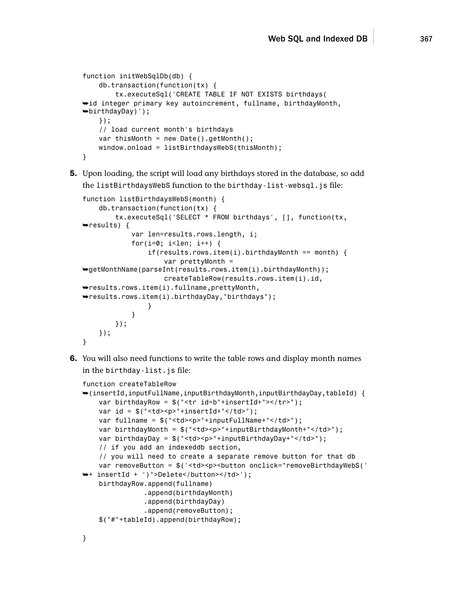```
function initWebSqlDb(db) {
   db.transaction(function(tx) {
       tx.executeSql('CREATE TABLE IF NOT EXISTS birthdays(
➥id integer primary key autoincrement, fullname, birthdayMonth,
➥birthdayDay)');
   });
   // load current month's birthdays
   var thisMonth = new Date().getMonth();
   window.onload = listBirthdaysWebS(thisMonth);
}
```

```
5. Upon loading, the script will load any birthdays stored in the database, so add
   the listBirthdaysWebS function to the birthday-list-websql.js file:
```

```
function listBirthdaysWebS(month) {
   db.transaction(function(tx) {
        tx.executeSql('SELECT * FROM birthdays', [], function(tx,
➥results) {
            var len=results.rows.length, i;
            for(i=0; i<len; i++) {
                if(results.rows.item(i).birthdayMonth == month) {
                    var prettyMonth =
➥getMonthName(parseInt(results.rows.item(i).birthdayMonth));
                    createTableRow(results.rows.item(i).id,
➥results.rows.item(i).fullname,prettyMonth,
➥results.rows.item(i).birthdayDay,"birthdays");
                }
           }
       });
   });
}
```
6. You will also need functions to write the table rows and display month names in the birthday-list.js file:

```
function createTableRow
➥(insertId,inputFullName,inputBirthdayMonth,inputBirthdayDay,tableId) {
    var birthdayRow = $("<tr id=b"+insertId+"></tr>");
    var id = $( "<td><p>"+insertId+"</td>");
    var fullname = $("<td><p>"+inputFullName+"</td>");
    var birthdayMonth = $(" <td>>p~'+inputBirthdayMonth+" </td>");
    var birthdayDay = $(" <td><p>pp</i>++inputBirthdayDay+" <td><p>td</p>;
    // if you add an indexeddb section,
    // you will need to create a separate remove button for that db
    var removeButton = $('<td><p>>>>button onclick="removeBirthdayWebS('
➥+ insertId + ')">Delete</button></td>');
    birthdayRow.append(fullname)
                .append(birthdayMonth)
                .append(birthdayDay)
                .append(removeButton);
    $("#"+tableId).append(birthdayRow);
```
}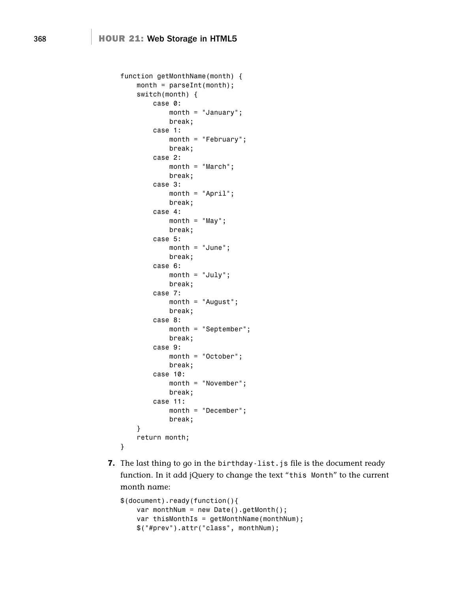```
function getMonthName(month) {
    month = parseInt(month);
    switch(month) {
        case 0:
            month = "January";
            break;
        case 1:
            month = "February";
            break;
        case 2:
            month = "March";
            break;
        case 3:
            month = "April";
            break;
        case 4:
            month = "May";
            break;
        case 5:
            month = "June";
            break;
        case 6:
            month = "July";break;
        case 7:
            month = "August";
            break;
        case 8:
            month = "September";
            break;
        case 9:
            month = "October";
            break;
        case 10:
            month = "November";
            break;
        case 11:
            month = "December";
            break;
    }
    return month;
}
```
7. The last thing to go in the birthday - list. js file is the document ready function. In it add jQuery to change the text "this Month" to the current month name:

```
$(document).ready(function(){
   var monthNum = new Date().getMonth();
   var thisMonthIs = getMonthName(monthNum);
    $("#prev").attr("class", monthNum);
```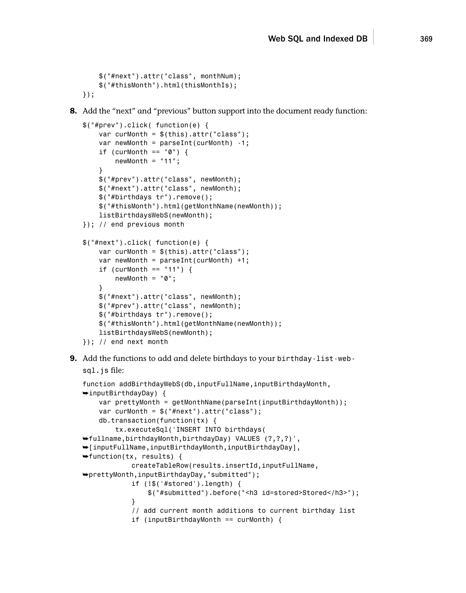```
$("#next").attr("class", monthNum);
   $("#thisMonth").html(thisMonthIs);
});
```
8. Add the "next" and "previous" button support into the document ready function:

```
$("#prev").click( function(e) {
    var curMonth = $(this).attr("class");var newMonth = parseInt(curMonth) -1;
    if (curMonth == "0") {
        newMonth = "11";}
    $("#prev").attr("class", newMonth);
    $("#next").attr("class", newMonth);
    $("#birthdays tr").remove();
    $("#thisMonth").html(getMonthName(newMonth));
    listBirthdaysWebS(newMonth);
}); // end previous month
$("#next").click( function(e) {
    var curMonth = $(this).attr("class");var newMonth = parseInt(curMonth) +1;if (curMonth == "11") {
        newMonth = "0";}
    $("#next").attr("class", newMonth);
    $("#prev").attr("class", newMonth);
    $("#birthdays tr").remove();
    $("#thisMonth").html(getMonthName(newMonth));
    listBirthdaysWebS(newMonth);
}); // end next month
```
9. Add the functions to add and delete birthdays to your birthday-list-websql.js file:

```
function addBirthdayWebS(db,inputFullName,inputBirthdayMonth,
➥inputBirthdayDay) {
    var prettyMonth = getMonthName(parseInt(inputBirthdayMonth));
    var curMonth = $("#next") .attr("class");
    db.transaction(function(tx) {
        tx.executeSql('INSERT INTO birthdays(
➥fullname,birthdayMonth,birthdayDay) VALUES (?,?,?)',
➥[inputFullName,inputBirthdayMonth,inputBirthdayDay],
➥function(tx, results) {
            createTableRow(results.insertId,inputFullName,
➥prettyMonth,inputBirthdayDay,"submitted");
            if (!$('#stored').length) {
                $("#submitted").before("<h3 id=stored>Stored</h3>");
            }
            // add current month additions to current birthday list
            if (inputBirthdayMonth == curMonth) {
```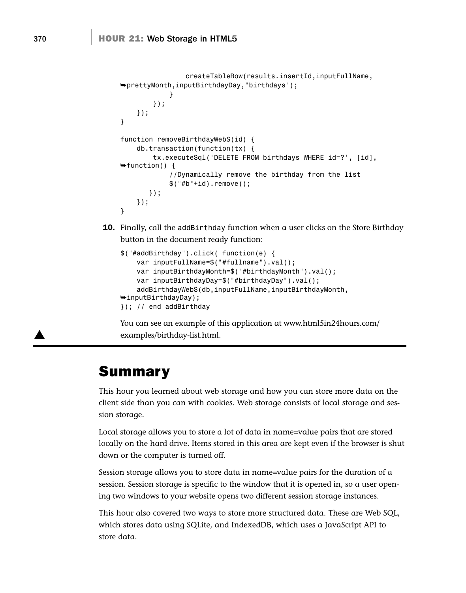```
createTableRow(results.insertId,inputFullName,
➥prettyMonth,inputBirthdayDay,"birthdays");
            }
        });
    });
}
function removeBirthdayWebS(id) {
    db.transaction(function(tx) {
        tx.executeSql('DELETE FROM birthdays WHERE id=?', [id],
➥function() {
            //Dynamically remove the birthday from the list
            $("#b"+id).remove();
       });
    });
}
```
10. Finally, call the addBirthday function when a user clicks on the Store Birthday button in the document ready function:

```
$("#addBirthday").click( function(e) {
    var inputFullName=$("#fullname").val();
    var inputBirthdayMonth=$("#birthdayMonth").val();
    var inputBirthdayDay=$("#birthdayDay").val();
    addBirthdayWebS(db,inputFullName,inputBirthdayMonth,
➥inputBirthdayDay);
}); // end addBirthday
```
You can see an example of this application at [www.html5in24hours.com/](www.html5in24hours.com/examples/birthday-list.html) [examples/birthday-list.html.](www.html5in24hours.com/examples/birthday-list.html)

# Summary

This hour you learned about web storage and how you can store more data on the client side than you can with cookies. Web storage consists of local storage and session storage.

Local storage allows you to store a lot of data in name=value pairs that are stored locally on the hard drive. Items stored in this area are kept even if the browser is shut down or the computer is turned off.

Session storage allows you to store data in name=value pairs for the duration of a session. Session storage is specific to the window that it is opened in, so a user opening two windows to your website opens two different session storage instances.

This hour also covered two ways to store more structured data. These are Web SQL, which stores data using SQLite, and IndexedDB, which uses a JavaScript API to store data.

▲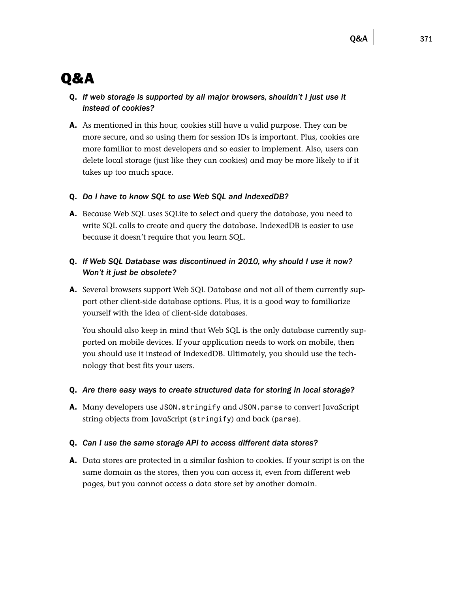# Q&A

- Q. *If web storage is supported by all major browsers, shouldn't I just use it instead of cookies?*
- A. As mentioned in this hour, cookies still have a valid purpose. They can be more secure, and so using them for session IDs is important. Plus, cookies are more familiar to most developers and so easier to implement. Also, users can delete local storage (just like they can cookies) and may be more likely to if it takes up too much space.

#### Q. *Do I have to know SQL to use Web SQL and IndexedDB?*

A. Because Web SQL uses SQLite to select and query the database, you need to write SQL calls to create and query the database. IndexedDB is easier to use because it doesn't require that you learn SQL.

#### Q. *If Web SQL Database was discontinued in 2010, why should I use it now? Won't it just be obsolete?*

A. Several browsers support Web SQL Database and not all of them currently support other client-side database options. Plus, it is a good way to familiarize yourself with the idea of client-side databases.

You should also keep in mind that Web SQL is the only database currently supported on mobile devices. If your application needs to work on mobile, then you should use it instead of IndexedDB. Ultimately, you should use the technology that best fits your users.

#### Q. *Are there easy ways to create structured data for storing in local storage?*

A. Many developers use JSON.stringify and JSON.parse to convert JavaScript string objects from JavaScript (stringify) and back (parse).

#### Q. *Can I use the same storage API to access different data stores?*

A. Data stores are protected in a similar fashion to cookies. If your script is on the same domain as the stores, then you can access it, even from different web pages, but you cannot access a data store set by another domain.